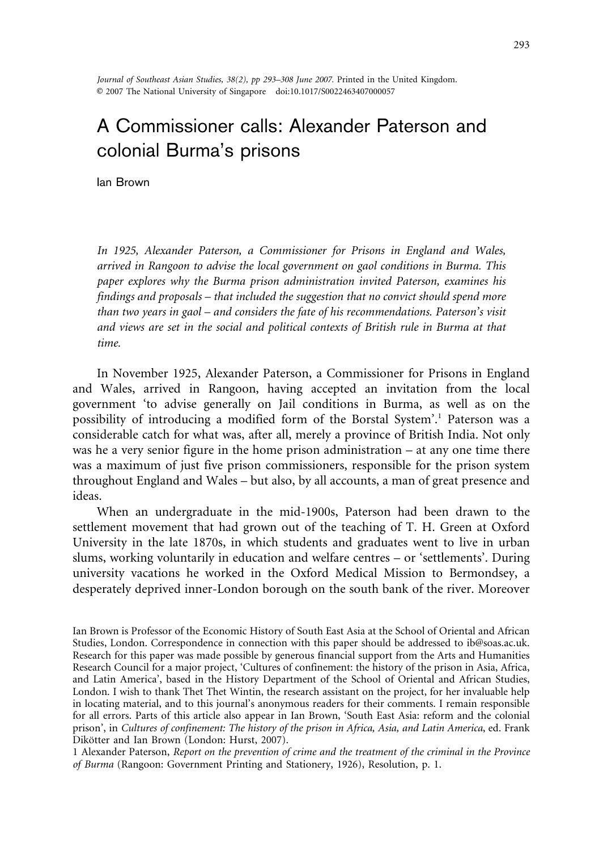Journal of Southeast Asian Studies, 38(2), pp 293-308 June 2007. Printed in the United Kingdom. © 2007 The National University of Singapore doi:10.1017/S0022463407000057

# A Commissioner calls: Alexander Paterson and colonial Burma's prisons

lan Brown

In 1925, Alexander Paterson, a Commissioner for Prisons in England and Wales, arrived in Rangoon to advise the local government on gaol conditions in Burma. This paper explores why the Burma prison administration invited Paterson, examines his findings and proposals – that included the suggestion that no convict should spend more than two years in gaol – and considers the fate of his recommendations. Paterson's visit and views are set in the social and political contexts of British rule in Burma at that time

In November 1925, Alexander Paterson, a Commissioner for Prisons in England and Wales, arrived in Rangoon, having accepted an invitation from the local government 'to advise generally on Jail conditions in Burma, as well as on the possibility of introducing a modified form of the Borstal System'.<sup>1</sup> Paterson was a considerable catch for what was, after all, merely a province of British India. Not only was he a very senior figure in the home prison administration  $-$  at any one time there was a maximum of just five prison commissioners, responsible for the prison system throughout England and Wales – but also, by all accounts, a man of great presence and ideas.

When an undergraduate in the mid-1900s, Paterson had been drawn to the settlement movement that had grown out of the teaching of T. H. Green at Oxford University in the late 1870s, in which students and graduates went to live in urban slums, working voluntarily in education and welfare centres – or 'settlements'. During university vacations he worked in the Oxford Medical Mission to Bermondsey, a desperately deprived inner-London borough on the south bank of the river. Moreover

1 Alexander Paterson, Report on the prevention of crime and the treatment of the criminal in the Province of Burma (Rangoon: Government Printing and Stationery, 1926), Resolution, p. 1.

Ian Brown is Professor of the Economic History of South East Asia at the School of Oriental and African Studies, London. Correspondence in connection with this paper should be addressed to ib@soas.ac.uk. Research for this paper was made possible by generous financial support from the Arts and Humanities Research Council for a major project, 'Cultures of confinement: the history of the prison in Asia, Africa, and Latin America', based in the History Department of the School of Oriental and African Studies, London. I wish to thank Thet Thet Wintin, the research assistant on the project, for her invaluable help in locating material, and to this journal's anonymous readers for their comments. I remain responsible for all errors. Parts of this article also appear in Ian Brown, 'South East Asia: reform and the colonial prison', in Cultures of confinement: The history of the prison in Africa, Asia, and Latin America, ed. Frank Dikötter and Ian Brown (London: Hurst, 2007).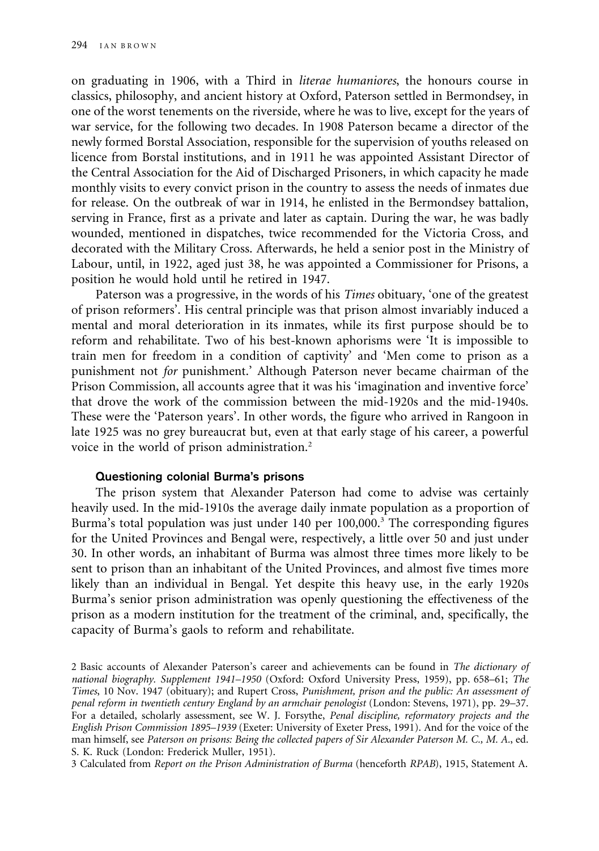on graduating in 1906, with a Third in *literae humaniores*, the honours course in classics, philosophy, and ancient history at Oxford, Paterson settled in Bermondsey, in one of the worst tenements on the riverside, where he was to live, except for the years of war service, for the following two decades. In 1908 Paterson became a director of the newly formed Borstal Association, responsible for the supervision of youths released on licence from Borstal institutions, and in 1911 he was appointed Assistant Director of the Central Association for the Aid of Discharged Prisoners, in which capacity he made monthly visits to every convict prison in the country to assess the needs of inmates due for release. On the outbreak of war in 1914, he enlisted in the Bermondsey battalion, serving in France, first as a private and later as captain. During the war, he was badly wounded, mentioned in dispatches, twice recommended for the Victoria Cross, and decorated with the Military Cross. Afterwards, he held a senior post in the Ministry of Labour, until, in 1922, aged just 38, he was appointed a Commissioner for Prisons, a position he would hold until he retired in 1947.

Paterson was a progressive, in the words of his Times obituary, 'one of the greatest of prison reformers'. His central principle was that prison almost invariably induced a mental and moral deterioration in its inmates, while its first purpose should be to reform and rehabilitate. Two of his best-known aphorisms were 'It is impossible to train men for freedom in a condition of captivity' and 'Men come to prison as a punishment not for punishment.' Although Paterson never became chairman of the Prison Commission, all accounts agree that it was his 'imagination and inventive force' that drove the work of the commission between the mid-1920s and the mid-1940s. These were the 'Paterson years'. In other words, the figure who arrived in Rangoon in late 1925 was no grey bureaucrat but, even at that early stage of his career, a powerful voice in the world of prison administration.<sup>2</sup>

## Questioning colonial Burma's prisons

The prison system that Alexander Paterson had come to advise was certainly heavily used. In the mid-1910s the average daily inmate population as a proportion of Burma's total population was just under 140 per 100,000.<sup>3</sup> The corresponding figures for the United Provinces and Bengal were, respectively, a little over 50 and just under 30. In other words, an inhabitant of Burma was almost three times more likely to be sent to prison than an inhabitant of the United Provinces, and almost five times more likely than an individual in Bengal. Yet despite this heavy use, in the early 1920s Burma's senior prison administration was openly questioning the effectiveness of the prison as a modern institution for the treatment of the criminal, and, specifically, the capacity of Burma's gaols to reform and rehabilitate.

<sup>2</sup> Basic accounts of Alexander Paterson's career and achievements can be found in The dictionary of national biography. Supplement 1941-1950 (Oxford: Oxford University Press, 1959), pp. 658-61; The Times, 10 Nov. 1947 (obituary); and Rupert Cross, Punishment, prison and the public: An assessment of penal reform in twentieth century England by an armchair penologist (London: Stevens, 1971), pp. 29–37. For a detailed, scholarly assessment, see W. J. Forsythe, Penal discipline, reformatory projects and the English Prison Commission 1895-1939 (Exeter: University of Exeter Press, 1991). And for the voice of the man himself, see Paterson on prisons: Being the collected papers of Sir Alexander Paterson M. C., M. A., ed. S. K. Ruck (London: Frederick Muller, 1951).

<sup>3</sup> Calculated from Report on the Prison Administration of Burma (henceforth RPAB), 1915, Statement A.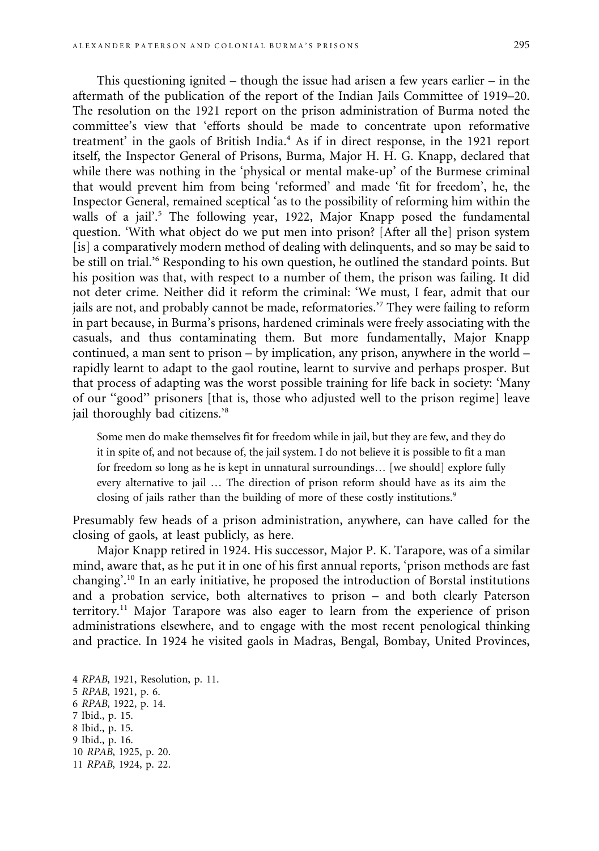This questioning ignited  $-$  though the issue had arisen a few years earlier  $-$  in the aftermath of the publication of the report of the Indian Jails Committee of 1919-20. The resolution on the 1921 report on the prison administration of Burma noted the committee's view that 'efforts should be made to concentrate upon reformative treatment' in the gaols of British India.<sup>4</sup> As if in direct response, in the 1921 report itself, the Inspector General of Prisons, Burma, Major H. H. G. Knapp, declared that while there was nothing in the 'physical or mental make-up' of the Burmese criminal that would prevent him from being 'reformed' and made 'fit for freedom', he, the Inspector General, remained sceptical 'as to the possibility of reforming him within the walls of a jail'.<sup>5</sup> The following year, 1922, Major Knapp posed the fundamental question. 'With what object do we put men into prison? [After all the] prison system [is] a comparatively modern method of dealing with delinquents, and so may be said to be still on trial.<sup>76</sup> Responding to his own question, he outlined the standard points. But his position was that, with respect to a number of them, the prison was failing. It did not deter crime. Neither did it reform the criminal: 'We must, I fear, admit that our jails are not, and probably cannot be made, reformatories.<sup>7</sup> They were failing to reform in part because, in Burma's prisons, hardened criminals were freely associating with the casuals, and thus contaminating them. But more fundamentally, Major Knapp continued, a man sent to prison  $-$  by implication, any prison, anywhere in the world  $$ rapidly learnt to adapt to the gaol routine, learnt to survive and perhaps prosper. But that process of adapting was the worst possible training for life back in society: 'Many of our "good" prisoners [that is, those who adjusted well to the prison regime] leave jail thoroughly bad citizens.'<sup>8</sup>

Some men do make themselves fit for freedom while in jail, but they are few, and they do it in spite of, and not because of, the jail system. I do not believe it is possible to fit a man for freedom so long as he is kept in unnatural surroundings... [we should] explore fully every alternative to jail ... The direction of prison reform should have as its aim the closing of jails rather than the building of more of these costly institutions.<sup>9</sup>

Presumably few heads of a prison administration, anywhere, can have called for the closing of gaols, at least publicly, as here.

Major Knapp retired in 1924. His successor, Major P. K. Tarapore, was of a similar mind, aware that, as he put it in one of his first annual reports, 'prison methods are fast changing'.<sup>10</sup> In an early initiative, he proposed the introduction of Borstal institutions and a probation service, both alternatives to prison - and both clearly Paterson territory.<sup>11</sup> Major Tarapore was also eager to learn from the experience of prison administrations elsewhere, and to engage with the most recent penological thinking and practice. In 1924 he visited gaols in Madras, Bengal, Bombay, United Provinces,

4 RPAB, 1921, Resolution, p. 11. 5 RPAB, 1921, p. 6. 6 RPAB, 1922, p. 14. 7 Ibid., p. 15. 8 Ibid., p. 15. 9 Ibid., p. 16. 10 RPAB, 1925, p. 20. 11 RPAB, 1924, p. 22.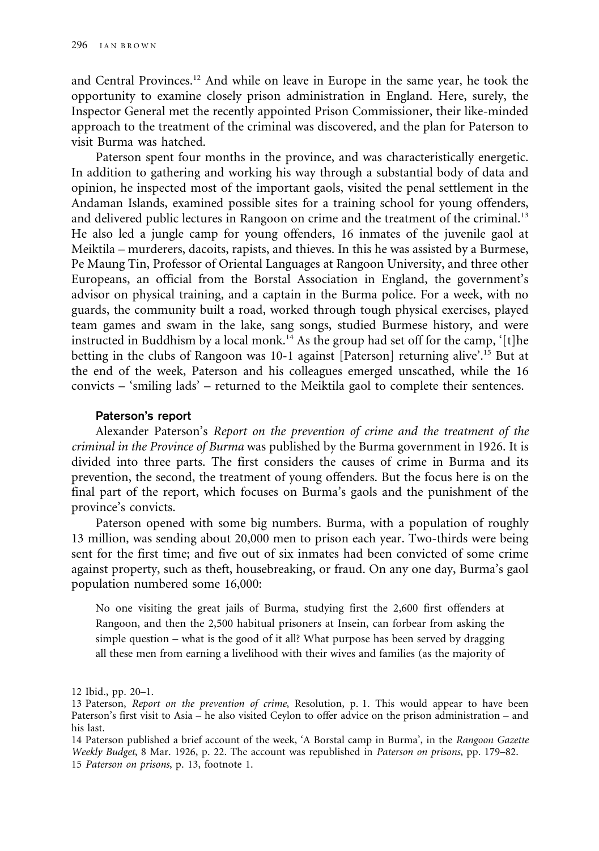and Central Provinces.<sup>12</sup> And while on leave in Europe in the same year, he took the opportunity to examine closely prison administration in England. Here, surely, the Inspector General met the recently appointed Prison Commissioner, their like-minded approach to the treatment of the criminal was discovered, and the plan for Paterson to visit Burma was hatched.

Paterson spent four months in the province, and was characteristically energetic. In addition to gathering and working his way through a substantial body of data and opinion, he inspected most of the important gaols, visited the penal settlement in the Andaman Islands, examined possible sites for a training school for young offenders, and delivered public lectures in Rangoon on crime and the treatment of the criminal.<sup>13</sup> He also led a jungle camp for young offenders, 16 inmates of the juvenile gaol at Meiktila - murderers, dacoits, rapists, and thieves. In this he was assisted by a Burmese, Pe Maung Tin, Professor of Oriental Languages at Rangoon University, and three other Europeans, an official from the Borstal Association in England, the government's advisor on physical training, and a captain in the Burma police. For a week, with no guards, the community built a road, worked through tough physical exercises, played team games and swam in the lake, sang songs, studied Burmese history, and were instructed in Buddhism by a local monk.<sup>14</sup> As the group had set off for the camp, '[t]he betting in the clubs of Rangoon was 10-1 against [Paterson] returning alive'.<sup>15</sup> But at the end of the week, Paterson and his colleagues emerged unscathed, while the 16 convicts – 'smiling lads' – returned to the Meiktila gaol to complete their sentences.

#### Paterson's report

Alexander Paterson's Report on the prevention of crime and the treatment of the criminal in the Province of Burma was published by the Burma government in 1926. It is divided into three parts. The first considers the causes of crime in Burma and its prevention, the second, the treatment of young offenders. But the focus here is on the final part of the report, which focuses on Burma's gaols and the punishment of the province's convicts.

Paterson opened with some big numbers. Burma, with a population of roughly 13 million, was sending about 20,000 men to prison each year. Two-thirds were being sent for the first time; and five out of six inmates had been convicted of some crime against property, such as theft, housebreaking, or fraud. On any one day, Burma's gaol population numbered some 16,000:

No one visiting the great jails of Burma, studying first the 2,600 first offenders at Rangoon, and then the 2,500 habitual prisoners at Insein, can forbear from asking the simple question - what is the good of it all? What purpose has been served by dragging all these men from earning a livelihood with their wives and families (as the majority of

<sup>12</sup> Ibid., pp. 20-1.

<sup>13</sup> Paterson, Report on the prevention of crime, Resolution, p. 1. This would appear to have been Paterson's first visit to Asia – he also visited Ceylon to offer advice on the prison administration – and his last.

<sup>14</sup> Paterson published a brief account of the week, 'A Borstal camp in Burma', in the Rangoon Gazette Weekly Budget, 8 Mar. 1926, p. 22. The account was republished in Paterson on prisons, pp. 179-82. 15 Paterson on prisons, p. 13, footnote 1.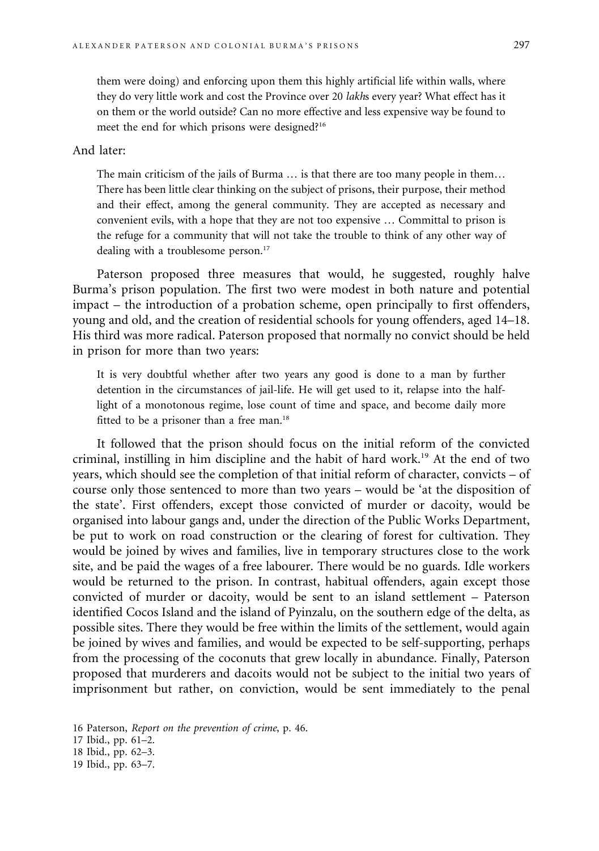them were doing) and enforcing upon them this highly artificial life within walls, where they do very little work and cost the Province over 20 lakhs every year? What effect has it on them or the world outside? Can no more effective and less expensive way be found to meet the end for which prisons were designed?<sup>16</sup>

#### And later:

The main criticism of the jails of Burma ... is that there are too many people in them... There has been little clear thinking on the subject of prisons, their purpose, their method and their effect, among the general community. They are accepted as necessary and convenient evils, with a hope that they are not too expensive ... Committal to prison is the refuge for a community that will not take the trouble to think of any other way of dealing with a troublesome person.<sup>17</sup>

Paterson proposed three measures that would, he suggested, roughly halve Burma's prison population. The first two were modest in both nature and potential impact – the introduction of a probation scheme, open principally to first offenders, young and old, and the creation of residential schools for young offenders, aged 14-18. His third was more radical. Paterson proposed that normally no convict should be held in prison for more than two years:

It is very doubtful whether after two years any good is done to a man by further detention in the circumstances of jail-life. He will get used to it, relapse into the halflight of a monotonous regime, lose count of time and space, and become daily more fitted to be a prisoner than a free man.<sup>18</sup>

It followed that the prison should focus on the initial reform of the convicted criminal, instilling in him discipline and the habit of hard work.<sup>19</sup> At the end of two years, which should see the completion of that initial reform of character, convicts – of course only those sentenced to more than two years - would be 'at the disposition of the state'. First offenders, except those convicted of murder or dacoity, would be organised into labour gangs and, under the direction of the Public Works Department, be put to work on road construction or the clearing of forest for cultivation. They would be joined by wives and families, live in temporary structures close to the work site, and be paid the wages of a free labourer. There would be no guards. Idle workers would be returned to the prison. In contrast, habitual offenders, again except those convicted of murder or dacoity, would be sent to an island settlement - Paterson identified Cocos Island and the island of Pyinzalu, on the southern edge of the delta, as possible sites. There they would be free within the limits of the settlement, would again be joined by wives and families, and would be expected to be self-supporting, perhaps from the processing of the coconuts that grew locally in abundance. Finally, Paterson proposed that murderers and dacoits would not be subject to the initial two years of imprisonment but rather, on conviction, would be sent immediately to the penal

16 Paterson, Report on the prevention of crime, p. 46.

19 Ibid., pp. 63-7.

<sup>17</sup> Ibid., pp. 61-2.

<sup>18</sup> Ibid., pp. 62-3.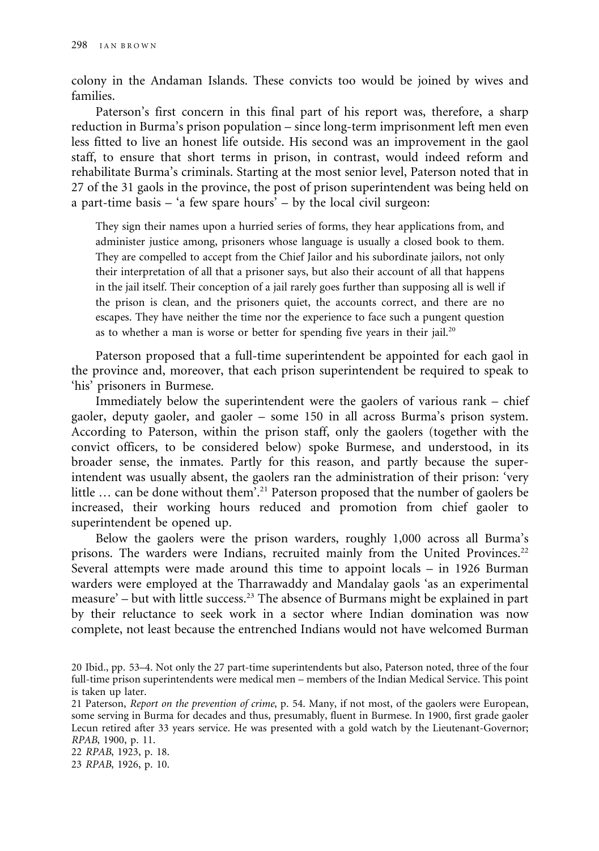colony in the Andaman Islands. These convicts too would be joined by wives and families.

Paterson's first concern in this final part of his report was, therefore, a sharp reduction in Burma's prison population - since long-term imprisonment left men even less fitted to live an honest life outside. His second was an improvement in the gaol staff, to ensure that short terms in prison, in contrast, would indeed reform and rehabilitate Burma's criminals. Starting at the most senior level, Paterson noted that in 27 of the 31 gaols in the province, the post of prison superintendent was being held on a part-time basis  $-$  'a few spare hours'  $-$  by the local civil surgeon:

They sign their names upon a hurried series of forms, they hear applications from, and administer justice among, prisoners whose language is usually a closed book to them. They are compelled to accept from the Chief Jailor and his subordinate jailors, not only their interpretation of all that a prisoner says, but also their account of all that happens in the jail itself. Their conception of a jail rarely goes further than supposing all is well if the prison is clean, and the prisoners quiet, the accounts correct, and there are no escapes. They have neither the time nor the experience to face such a pungent question as to whether a man is worse or better for spending five years in their jail.<sup>20</sup>

Paterson proposed that a full-time superintendent be appointed for each gaol in the province and, moreover, that each prison superintendent be required to speak to 'his' prisoners in Burmese.

Immediately below the superintendent were the gaolers of various rank – chief gaoler, deputy gaoler, and gaoler – some 150 in all across Burma's prison system. According to Paterson, within the prison staff, only the gaolers (together with the convict officers, to be considered below) spoke Burmese, and understood, in its broader sense, the inmates. Partly for this reason, and partly because the superintendent was usually absent, the gaolers ran the administration of their prison: 'very little ... can be done without them'.<sup>21</sup> Paterson proposed that the number of gaolers be increased, their working hours reduced and promotion from chief gaoler to superintendent be opened up.

Below the gaolers were the prison warders, roughly 1,000 across all Burma's prisons. The warders were Indians, recruited mainly from the United Provinces.<sup>22</sup> Several attempts were made around this time to appoint locals - in 1926 Burman warders were employed at the Tharrawaddy and Mandalay gaols 'as an experimental measure' – but with little success.<sup>23</sup> The absence of Burmans might be explained in part by their reluctance to seek work in a sector where Indian domination was now complete, not least because the entrenched Indians would not have welcomed Burman

23 RPAB, 1926, p. 10.

<sup>20</sup> Ibid., pp. 53-4. Not only the 27 part-time superintendents but also, Paterson noted, three of the four full-time prison superintendents were medical men – members of the Indian Medical Service. This point is taken up later.

<sup>21</sup> Paterson, Report on the prevention of crime, p. 54. Many, if not most, of the gaolers were European, some serving in Burma for decades and thus, presumably, fluent in Burmese. In 1900, first grade gaoler Lecun retired after 33 years service. He was presented with a gold watch by the Lieutenant-Governor; RPAB, 1900, p. 11.

<sup>22</sup> RPAB, 1923, p. 18.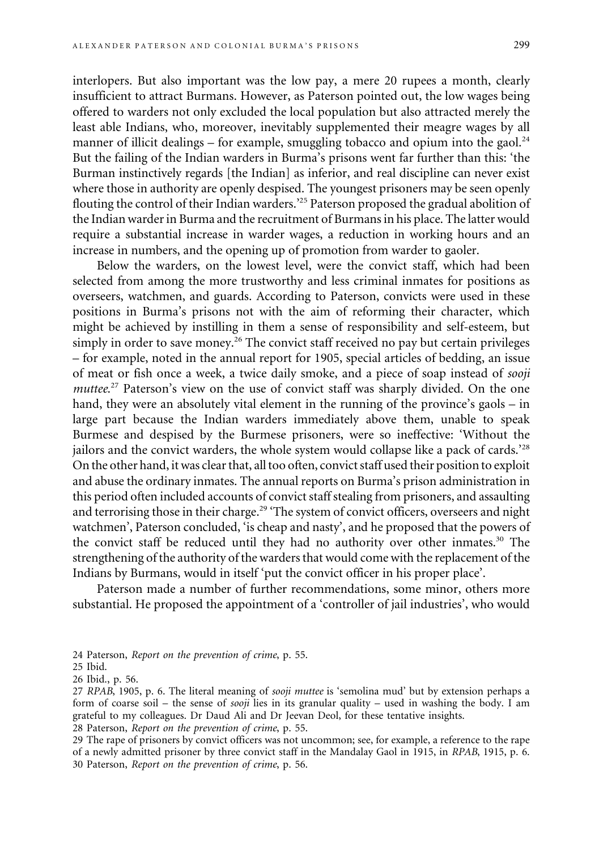interlopers. But also important was the low pay, a mere 20 rupees a month, clearly insufficient to attract Burmans. However, as Paterson pointed out, the low wages being offered to warders not only excluded the local population but also attracted merely the least able Indians, who, moreover, inevitably supplemented their meagre wages by all manner of illicit dealings – for example, smuggling tobacco and opium into the gaol. $^{24}$ But the failing of the Indian warders in Burma's prisons went far further than this: 'the Burman instinctively regards [the Indian] as inferior, and real discipline can never exist where those in authority are openly despised. The youngest prisoners may be seen openly flouting the control of their Indian warders.<sup>25</sup> Paterson proposed the gradual abolition of the Indian warder in Burma and the recruitment of Burmans in his place. The latter would require a substantial increase in warder wages, a reduction in working hours and an increase in numbers, and the opening up of promotion from warder to gaoler.

Below the warders, on the lowest level, were the convict staff, which had been selected from among the more trustworthy and less criminal inmates for positions as overseers, watchmen, and guards. According to Paterson, convicts were used in these positions in Burma's prisons not with the aim of reforming their character, which might be achieved by instilling in them a sense of responsibility and self-esteem, but simply in order to save money.<sup>26</sup> The convict staff received no pay but certain privileges - for example, noted in the annual report for 1905, special articles of bedding, an issue of meat or fish once a week, a twice daily smoke, and a piece of soap instead of sooji *muttee.*<sup>27</sup> Paterson's view on the use of convict staff was sharply divided. On the one hand, they were an absolutely vital element in the running of the province's gaols – in large part because the Indian warders immediately above them, unable to speak Burmese and despised by the Burmese prisoners, were so ineffective: 'Without the jailors and the convict warders, the whole system would collapse like a pack of cards.<sup>228</sup> On the other hand, it was clear that, all too often, convict staff used their position to exploit and abuse the ordinary inmates. The annual reports on Burma's prison administration in this period often included accounts of convict staff stealing from prisoners, and assaulting and terrorising those in their charge.<sup>29</sup> 'The system of convict officers, overseers and night watchmen', Paterson concluded, 'is cheap and nasty', and he proposed that the powers of the convict staff be reduced until they had no authority over other inmates.<sup>30</sup> The strengthening of the authority of the warders that would come with the replacement of the Indians by Burmans, would in itself 'put the convict officer in his proper place'.

Paterson made a number of further recommendations, some minor, others more substantial. He proposed the appointment of a 'controller of jail industries', who would

28 Paterson, Report on the prevention of crime, p. 55.

29 The rape of prisoners by convict officers was not uncommon; see, for example, a reference to the rape of a newly admitted prisoner by three convict staff in the Mandalay Gaol in 1915, in RPAB, 1915, p. 6. 30 Paterson, Report on the prevention of crime, p. 56.

<sup>24</sup> Paterson, Report on the prevention of crime, p. 55.

<sup>25</sup> Ibid.

<sup>26</sup> Ibid., p. 56.

<sup>27</sup> RPAB, 1905, p. 6. The literal meaning of *sooji muttee* is 'semolina mud' but by extension perhaps a form of coarse soil - the sense of sooji lies in its granular quality - used in washing the body. I am grateful to my colleagues. Dr Daud Ali and Dr Jeevan Deol, for these tentative insights.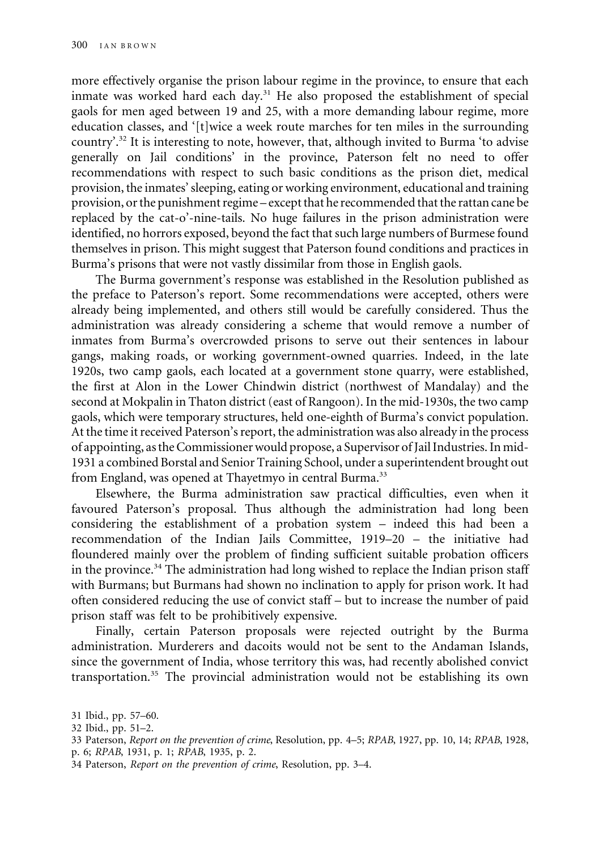more effectively organise the prison labour regime in the province, to ensure that each inmate was worked hard each day.<sup>31</sup> He also proposed the establishment of special gaols for men aged between 19 and 25, with a more demanding labour regime, more education classes, and '[t]wice a week route marches for ten miles in the surrounding country'.<sup>32</sup> It is interesting to note, however, that, although invited to Burma 'to advise generally on Jail conditions' in the province, Paterson felt no need to offer recommendations with respect to such basic conditions as the prison diet, medical provision, the inmates' sleeping, eating or working environment, educational and training provision, or the punishment regime – except that he recommended that the rattan cane be replaced by the cat-o'-nine-tails. No huge failures in the prison administration were identified, no horrors exposed, beyond the fact that such large numbers of Burmese found themselves in prison. This might suggest that Paterson found conditions and practices in Burma's prisons that were not vastly dissimilar from those in English gaols.

The Burma government's response was established in the Resolution published as the preface to Paterson's report. Some recommendations were accepted, others were already being implemented, and others still would be carefully considered. Thus the administration was already considering a scheme that would remove a number of inmates from Burma's overcrowded prisons to serve out their sentences in labour gangs, making roads, or working government-owned quarries. Indeed, in the late 1920s, two camp gaols, each located at a government stone quarry, were established, the first at Alon in the Lower Chindwin district (northwest of Mandalay) and the second at Mokpalin in Thaton district (east of Rangoon). In the mid-1930s, the two camp gaols, which were temporary structures, held one-eighth of Burma's convict population. At the time it received Paterson's report, the administration was also already in the process of appointing, as the Commissioner would propose, a Supervisor of Jail Industries. In mid-1931 a combined Borstal and Senior Training School, under a superintendent brought out from England, was opened at Thayetmyo in central Burma.<sup>33</sup>

Elsewhere, the Burma administration saw practical difficulties, even when it favoured Paterson's proposal. Thus although the administration had long been considering the establishment of a probation system - indeed this had been a recommendation of the Indian Jails Committee, 1919-20 - the initiative had floundered mainly over the problem of finding sufficient suitable probation officers in the province.<sup>34</sup> The administration had long wished to replace the Indian prison staff with Burmans; but Burmans had shown no inclination to apply for prison work. It had often considered reducing the use of convict staff – but to increase the number of paid prison staff was felt to be prohibitively expensive.

Finally, certain Paterson proposals were rejected outright by the Burma administration. Murderers and dacoits would not be sent to the Andaman Islands, since the government of India, whose territory this was, had recently abolished convict transportation.<sup>35</sup> The provincial administration would not be establishing its own

<sup>31</sup> Ibid., pp. 57-60.

<sup>32</sup> Ibid., pp. 51-2.

<sup>33</sup> Paterson, Report on the prevention of crime, Resolution, pp. 4-5; RPAB, 1927, pp. 10, 14; RPAB, 1928, p. 6; RPAB, 1931, p. 1; RPAB, 1935, p. 2.

<sup>34</sup> Paterson, Report on the prevention of crime, Resolution, pp. 3-4.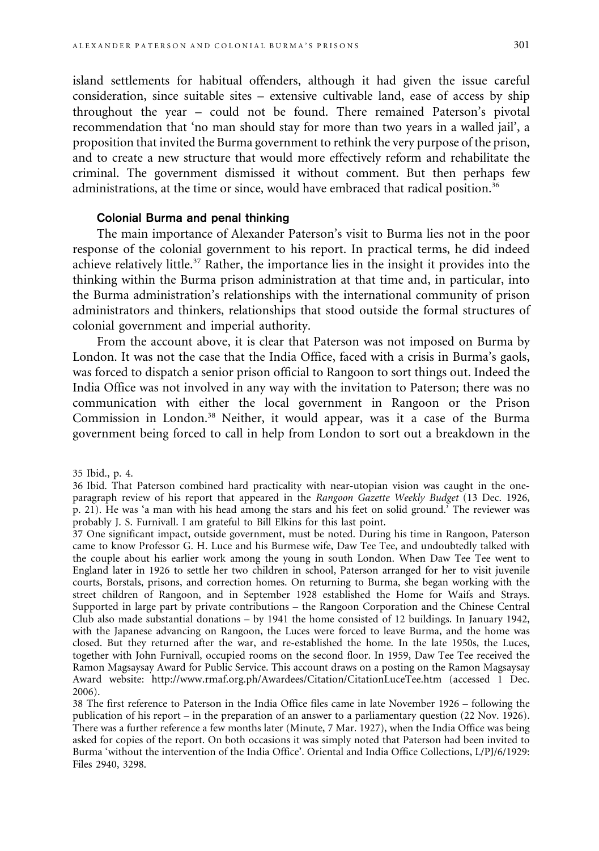island settlements for habitual offenders, although it had given the issue careful consideration, since suitable sites - extensive cultivable land, ease of access by ship throughout the year - could not be found. There remained Paterson's pivotal recommendation that 'no man should stay for more than two years in a walled jail', a proposition that invited the Burma government to rethink the very purpose of the prison, and to create a new structure that would more effectively reform and rehabilitate the criminal. The government dismissed it without comment. But then perhaps few administrations, at the time or since, would have embraced that radical position.<sup>36</sup>

### **Colonial Burma and penal thinking**

The main importance of Alexander Paterson's visit to Burma lies not in the poor response of the colonial government to his report. In practical terms, he did indeed achieve relatively little.<sup>37</sup> Rather, the importance lies in the insight it provides into the thinking within the Burma prison administration at that time and, in particular, into the Burma administration's relationships with the international community of prison administrators and thinkers, relationships that stood outside the formal structures of colonial government and imperial authority.

From the account above, it is clear that Paterson was not imposed on Burma by London. It was not the case that the India Office, faced with a crisis in Burma's gaols, was forced to dispatch a senior prison official to Rangoon to sort things out. Indeed the India Office was not involved in any way with the invitation to Paterson; there was no communication with either the local government in Rangoon or the Prison Commission in London.<sup>38</sup> Neither, it would appear, was it a case of the Burma government being forced to call in help from London to sort out a breakdown in the

37 One significant impact, outside government, must be noted. During his time in Rangoon, Paterson came to know Professor G. H. Luce and his Burmese wife, Daw Tee Tee, and undoubtedly talked with the couple about his earlier work among the young in south London. When Daw Tee Tee went to England later in 1926 to settle her two children in school, Paterson arranged for her to visit juvenile courts, Borstals, prisons, and correction homes. On returning to Burma, she began working with the street children of Rangoon, and in September 1928 established the Home for Waifs and Strays. Supported in large part by private contributions – the Rangoon Corporation and the Chinese Central Club also made substantial donations - by 1941 the home consisted of 12 buildings. In January 1942, with the Japanese advancing on Rangoon, the Luces were forced to leave Burma, and the home was closed. But they returned after the war, and re-established the home. In the late 1950s, the Luces, together with John Furnivall, occupied rooms on the second floor. In 1959, Daw Tee Tee received the Ramon Magsaysay Award for Public Service. This account draws on a posting on the Ramon Magsaysay Award website: http://www.rmaf.org.ph/Awardees/Citation/CitationLuceTee.htm (accessed 1 Dec.  $2006$ ).

38 The first reference to Paterson in the India Office files came in late November 1926 – following the publication of his report – in the preparation of an answer to a parliamentary question (22 Nov. 1926). There was a further reference a few months later (Minute, 7 Mar. 1927), when the India Office was being asked for copies of the report. On both occasions it was simply noted that Paterson had been invited to Burma 'without the intervention of the India Office'. Oriental and India Office Collections, L/PJ/6/1929: Files 2940, 3298.

<sup>35</sup> Ibid., p. 4.

<sup>36</sup> Ibid. That Paterson combined hard practicality with near-utopian vision was caught in the oneparagraph review of his report that appeared in the Rangoon Gazette Weekly Budget (13 Dec. 1926, p. 21). He was 'a man with his head among the stars and his feet on solid ground.' The reviewer was probably J. S. Furnivall. I am grateful to Bill Elkins for this last point.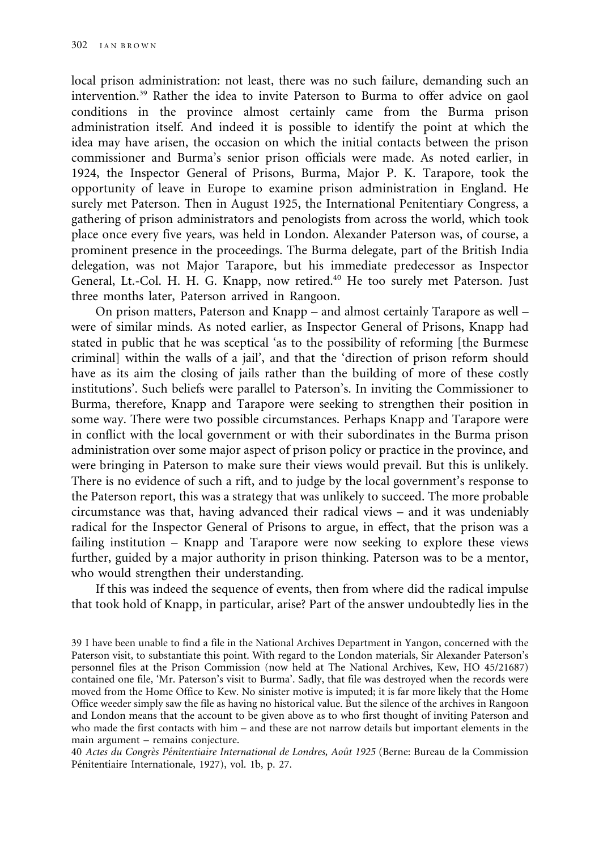local prison administration: not least, there was no such failure, demanding such an intervention.<sup>39</sup> Rather the idea to invite Paterson to Burma to offer advice on gaol conditions in the province almost certainly came from the Burma prison administration itself. And indeed it is possible to identify the point at which the idea may have arisen, the occasion on which the initial contacts between the prison commissioner and Burma's senior prison officials were made. As noted earlier, in 1924, the Inspector General of Prisons, Burma, Major P. K. Tarapore, took the opportunity of leave in Europe to examine prison administration in England. He surely met Paterson. Then in August 1925, the International Penitentiary Congress, a gathering of prison administrators and penologists from across the world, which took place once every five years, was held in London. Alexander Paterson was, of course, a prominent presence in the proceedings. The Burma delegate, part of the British India delegation, was not Major Tarapore, but his immediate predecessor as Inspector General, Lt.-Col. H. H. G. Knapp, now retired.<sup>40</sup> He too surely met Paterson. Just three months later, Paterson arrived in Rangoon.

On prison matters, Paterson and Knapp – and almost certainly Tarapore as well – were of similar minds. As noted earlier, as Inspector General of Prisons, Knapp had stated in public that he was sceptical 'as to the possibility of reforming [the Burmese] criminal] within the walls of a jail', and that the 'direction of prison reform should have as its aim the closing of jails rather than the building of more of these costly institutions'. Such beliefs were parallel to Paterson's. In inviting the Commissioner to Burma, therefore, Knapp and Tarapore were seeking to strengthen their position in some way. There were two possible circumstances. Perhaps Knapp and Tarapore were in conflict with the local government or with their subordinates in the Burma prison administration over some major aspect of prison policy or practice in the province, and were bringing in Paterson to make sure their views would prevail. But this is unlikely. There is no evidence of such a rift, and to judge by the local government's response to the Paterson report, this was a strategy that was unlikely to succeed. The more probable circumstance was that, having advanced their radical views - and it was undeniably radical for the Inspector General of Prisons to argue, in effect, that the prison was a failing institution – Knapp and Tarapore were now seeking to explore these views further, guided by a major authority in prison thinking. Paterson was to be a mentor, who would strengthen their understanding.

If this was indeed the sequence of events, then from where did the radical impulse that took hold of Knapp, in particular, arise? Part of the answer undoubtedly lies in the

40 Actes du Congrès Pénitentiaire International de Londres, Août 1925 (Berne: Bureau de la Commission Pénitentiaire Internationale, 1927), vol. 1b, p. 27.

<sup>39</sup> I have been unable to find a file in the National Archives Department in Yangon, concerned with the Paterson visit, to substantiate this point. With regard to the London materials, Sir Alexander Paterson's personnel files at the Prison Commission (now held at The National Archives, Kew, HO 45/21687) contained one file, 'Mr. Paterson's visit to Burma'. Sadly, that file was destroyed when the records were moved from the Home Office to Kew. No sinister motive is imputed; it is far more likely that the Home Office weeder simply saw the file as having no historical value. But the silence of the archives in Rangoon and London means that the account to be given above as to who first thought of inviting Paterson and who made the first contacts with  $\lim$  – and these are not narrow details but important elements in the main argument - remains conjecture.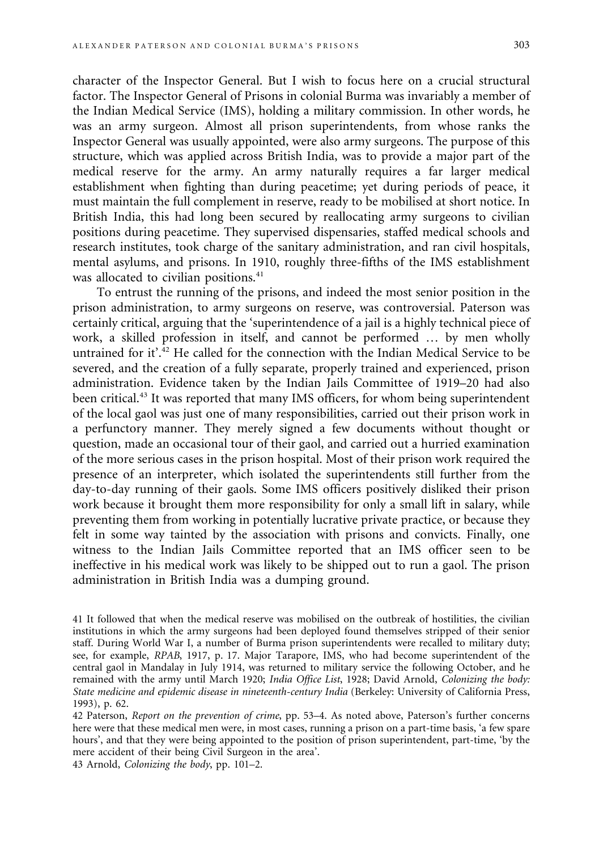character of the Inspector General. But I wish to focus here on a crucial structural factor. The Inspector General of Prisons in colonial Burma was invariably a member of the Indian Medical Service (IMS), holding a military commission. In other words, he was an army surgeon. Almost all prison superintendents, from whose ranks the Inspector General was usually appointed, were also army surgeons. The purpose of this structure, which was applied across British India, was to provide a major part of the medical reserve for the army. An army naturally requires a far larger medical establishment when fighting than during peacetime; yet during periods of peace, it must maintain the full complement in reserve, ready to be mobilised at short notice. In British India, this had long been secured by reallocating army surgeons to civilian positions during peacetime. They supervised dispensaries, staffed medical schools and research institutes, took charge of the sanitary administration, and ran civil hospitals, mental asylums, and prisons. In 1910, roughly three-fifths of the IMS establishment was allocated to civilian positions.<sup>41</sup>

To entrust the running of the prisons, and indeed the most senior position in the prison administration, to army surgeons on reserve, was controversial. Paterson was certainly critical, arguing that the 'superintendence of a jail is a highly technical piece of work, a skilled profession in itself, and cannot be performed ... by men wholly untrained for it'.<sup>42</sup> He called for the connection with the Indian Medical Service to be severed, and the creation of a fully separate, properly trained and experienced, prison administration. Evidence taken by the Indian Jails Committee of 1919–20 had also been critical.<sup>43</sup> It was reported that many IMS officers, for whom being superintendent of the local gaol was just one of many responsibilities, carried out their prison work in a perfunctory manner. They merely signed a few documents without thought or question, made an occasional tour of their gaol, and carried out a hurried examination of the more serious cases in the prison hospital. Most of their prison work required the presence of an interpreter, which isolated the superintendents still further from the day-to-day running of their gaols. Some IMS officers positively disliked their prison work because it brought them more responsibility for only a small lift in salary, while preventing them from working in potentially lucrative private practice, or because they felt in some way tainted by the association with prisons and convicts. Finally, one witness to the Indian Jails Committee reported that an IMS officer seen to be ineffective in his medical work was likely to be shipped out to run a gaol. The prison administration in British India was a dumping ground.

43 Arnold, Colonizing the body, pp. 101-2.

<sup>41</sup> It followed that when the medical reserve was mobilised on the outbreak of hostilities, the civilian institutions in which the army surgeons had been deployed found themselves stripped of their senior staff. During World War I, a number of Burma prison superintendents were recalled to military duty; see, for example, RPAB, 1917, p. 17. Major Tarapore, IMS, who had become superintendent of the central gaol in Mandalay in July 1914, was returned to military service the following October, and he remained with the army until March 1920; India Office List, 1928; David Arnold, Colonizing the body: State medicine and epidemic disease in nineteenth-century India (Berkeley: University of California Press, 1993), p. 62.

<sup>42</sup> Paterson, Report on the prevention of crime, pp. 53-4. As noted above, Paterson's further concerns here were that these medical men were, in most cases, running a prison on a part-time basis, 'a few spare hours', and that they were being appointed to the position of prison superintendent, part-time, 'by the mere accident of their being Civil Surgeon in the area'.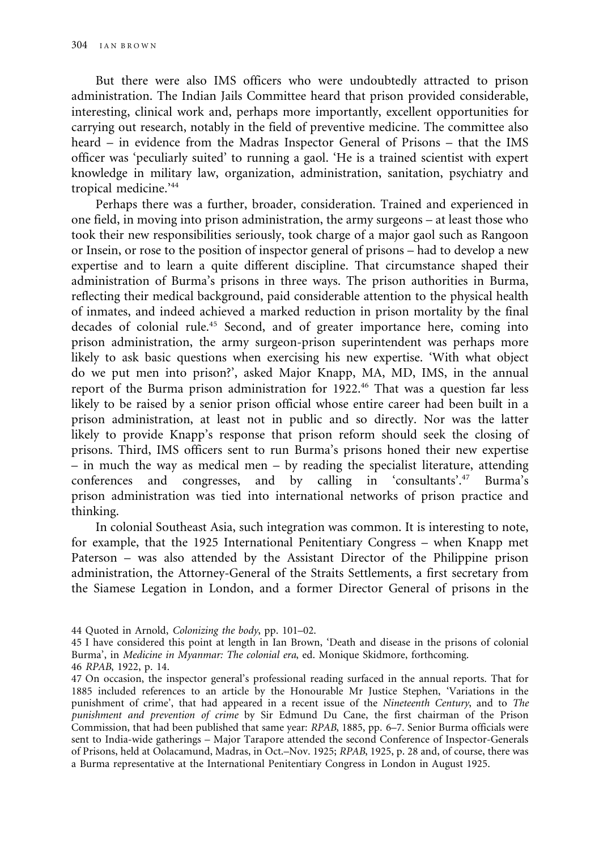But there were also IMS officers who were undoubtedly attracted to prison administration. The Indian Jails Committee heard that prison provided considerable, interesting, clinical work and, perhaps more importantly, excellent opportunities for carrying out research, notably in the field of preventive medicine. The committee also heard – in evidence from the Madras Inspector General of Prisons – that the IMS officer was 'peculiarly suited' to running a gaol. 'He is a trained scientist with expert knowledge in military law, organization, administration, sanitation, psychiatry and tropical medicine.<sup>'44</sup>

Perhaps there was a further, broader, consideration. Trained and experienced in one field, in moving into prison administration, the army surgeons – at least those who took their new responsibilities seriously, took charge of a major gaol such as Rangoon or Insein, or rose to the position of inspector general of prisons – had to develop a new expertise and to learn a quite different discipline. That circumstance shaped their administration of Burma's prisons in three ways. The prison authorities in Burma, reflecting their medical background, paid considerable attention to the physical health of inmates, and indeed achieved a marked reduction in prison mortality by the final decades of colonial rule.<sup>45</sup> Second, and of greater importance here, coming into prison administration, the army surgeon-prison superintendent was perhaps more likely to ask basic questions when exercising his new expertise. 'With what object do we put men into prison?', asked Major Knapp, MA, MD, IMS, in the annual report of the Burma prison administration for 1922.<sup>46</sup> That was a question far less likely to be raised by a senior prison official whose entire career had been built in a prison administration, at least not in public and so directly. Nor was the latter likely to provide Knapp's response that prison reform should seek the closing of prisons. Third, IMS officers sent to run Burma's prisons honed their new expertise  $-$  in much the way as medical men  $-$  by reading the specialist literature, attending and by calling in 'consultants'.<sup>47</sup> Burma's conferences and congresses, prison administration was tied into international networks of prison practice and thinking.

In colonial Southeast Asia, such integration was common. It is interesting to note, for example, that the 1925 International Penitentiary Congress - when Knapp met Paterson – was also attended by the Assistant Director of the Philippine prison administration, the Attorney-General of the Straits Settlements, a first secretary from the Siamese Legation in London, and a former Director General of prisons in the

<sup>44</sup> Quoted in Arnold, Colonizing the body, pp. 101-02.

<sup>45</sup> I have considered this point at length in Ian Brown, 'Death and disease in the prisons of colonial Burma', in Medicine in Myanmar: The colonial era, ed. Monique Skidmore, forthcoming.

<sup>46</sup> RPAB, 1922, p. 14.

<sup>47</sup> On occasion, the inspector general's professional reading surfaced in the annual reports. That for 1885 included references to an article by the Honourable Mr Justice Stephen, 'Variations in the punishment of crime', that had appeared in a recent issue of the Nineteenth Century, and to The punishment and prevention of crime by Sir Edmund Du Cane, the first chairman of the Prison Commission, that had been published that same year: RPAB, 1885, pp. 6-7. Senior Burma officials were sent to India-wide gatherings - Major Tarapore attended the second Conference of Inspector-Generals of Prisons, held at Oolacamund, Madras, in Oct.-Nov. 1925; RPAB, 1925, p. 28 and, of course, there was a Burma representative at the International Penitentiary Congress in London in August 1925.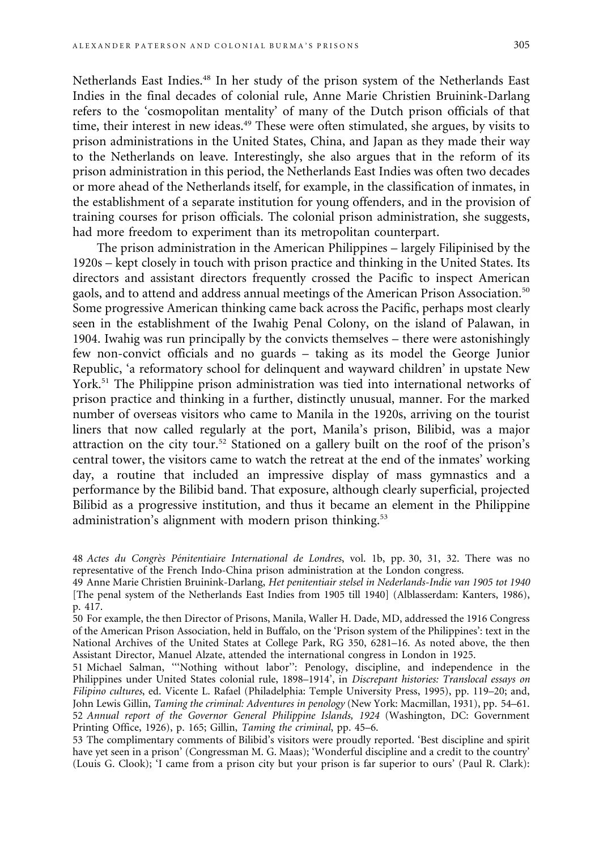Netherlands East Indies.<sup>48</sup> In her study of the prison system of the Netherlands East Indies in the final decades of colonial rule, Anne Marie Christien Bruinink-Darlang refers to the 'cosmopolitan mentality' of many of the Dutch prison officials of that time, their interest in new ideas.<sup>49</sup> These were often stimulated, she argues, by visits to prison administrations in the United States, China, and Japan as they made their way to the Netherlands on leave. Interestingly, she also argues that in the reform of its prison administration in this period, the Netherlands East Indies was often two decades or more ahead of the Netherlands itself, for example, in the classification of inmates, in the establishment of a separate institution for young offenders, and in the provision of training courses for prison officials. The colonial prison administration, she suggests, had more freedom to experiment than its metropolitan counterpart.

The prison administration in the American Philippines - largely Filipinised by the 1920s – kept closely in touch with prison practice and thinking in the United States. Its directors and assistant directors frequently crossed the Pacific to inspect American gaols, and to attend and address annual meetings of the American Prison Association.<sup>50</sup> Some progressive American thinking came back across the Pacific, perhaps most clearly seen in the establishment of the Iwahig Penal Colony, on the island of Palawan, in 1904. Iwahig was run principally by the convicts themselves – there were astonishingly few non-convict officials and no guards – taking as its model the George Junior Republic, 'a reformatory school for delinquent and wayward children' in upstate New York.<sup>51</sup> The Philippine prison administration was tied into international networks of prison practice and thinking in a further, distinctly unusual, manner. For the marked number of overseas visitors who came to Manila in the 1920s, arriving on the tourist liners that now called regularly at the port, Manila's prison, Bilibid, was a major attraction on the city tour.<sup>52</sup> Stationed on a gallery built on the roof of the prison's central tower, the visitors came to watch the retreat at the end of the inmates' working day, a routine that included an impressive display of mass gymnastics and a performance by the Bilibid band. That exposure, although clearly superficial, projected Bilibid as a progressive institution, and thus it became an element in the Philippine administration's alignment with modern prison thinking.<sup>53</sup>

53 The complimentary comments of Bilibid's visitors were proudly reported. 'Best discipline and spirit have yet seen in a prison' (Congressman M. G. Maas); 'Wonderful discipline and a credit to the country' (Louis G. Clook), 'I came from a prison city but your prison is far superior to ours' (Paul R. Clark):

<sup>48</sup> Actes du Congrès Pénitentiaire International de Londres, vol. 1b, pp. 30, 31, 32. There was no representative of the French Indo-China prison administration at the London congress.

<sup>49</sup> Anne Marie Christien Bruinink-Darlang, Het penitentiair stelsel in Nederlands-Indie van 1905 tot 1940 [The penal system of the Netherlands East Indies from 1905 till 1940] (Alblasserdam: Kanters, 1986), p. 417.

<sup>50</sup> For example, the then Director of Prisons, Manila, Waller H. Dade, MD, addressed the 1916 Congress of the American Prison Association, held in Buffalo, on the 'Prison system of the Philippines': text in the National Archives of the United States at College Park, RG 350, 6281-16. As noted above, the then Assistant Director, Manuel Alzate, attended the international congress in London in 1925.

<sup>51</sup> Michael Salman, "'Nothing without labor": Penology, discipline, and independence in the Philippines under United States colonial rule, 1898–1914', in Discrepant histories: Translocal essays on Filipino cultures, ed. Vicente L. Rafael (Philadelphia: Temple University Press, 1995), pp. 119-20; and, John Lewis Gillin, Taming the criminal: Adventures in penology (New York: Macmillan, 1931), pp. 54-61. 52 Annual report of the Governor General Philippine Islands, 1924 (Washington, DC: Government Printing Office, 1926), p. 165; Gillin, Taming the criminal, pp. 45-6.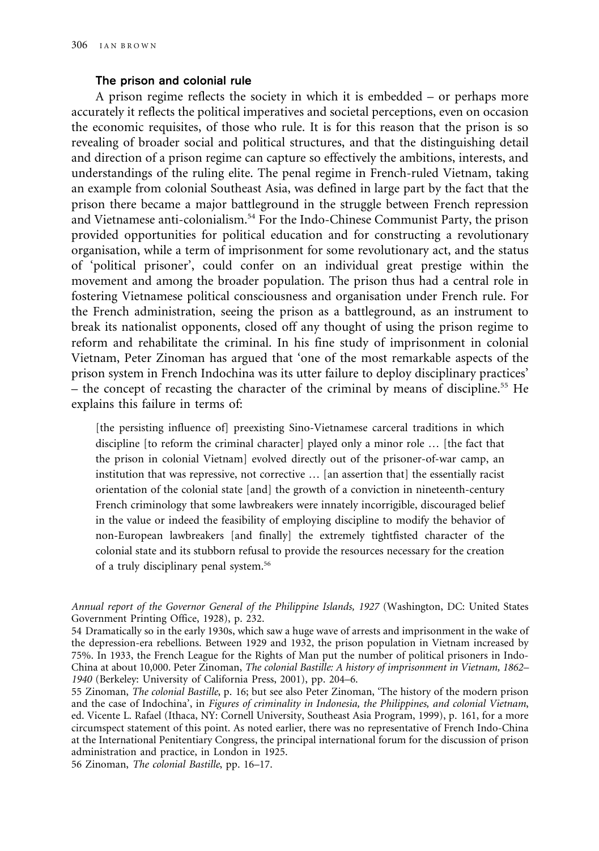#### The prison and colonial rule

A prison regime reflects the society in which it is embedded - or perhaps more accurately it reflects the political imperatives and societal perceptions, even on occasion the economic requisites, of those who rule. It is for this reason that the prison is so revealing of broader social and political structures, and that the distinguishing detail and direction of a prison regime can capture so effectively the ambitions, interests, and understandings of the ruling elite. The penal regime in French-ruled Vietnam, taking an example from colonial Southeast Asia, was defined in large part by the fact that the prison there became a major battleground in the struggle between French repression and Vietnamese anti-colonialism.<sup>54</sup> For the Indo-Chinese Communist Party, the prison provided opportunities for political education and for constructing a revolutionary organisation, while a term of imprisonment for some revolutionary act, and the status of 'political prisoner', could confer on an individual great prestige within the movement and among the broader population. The prison thus had a central role in fostering Vietnamese political consciousness and organisation under French rule. For the French administration, seeing the prison as a battleground, as an instrument to break its nationalist opponents, closed off any thought of using the prison regime to reform and rehabilitate the criminal. In his fine study of imprisonment in colonial Vietnam, Peter Zinoman has argued that 'one of the most remarkable aspects of the prison system in French Indochina was its utter failure to deploy disciplinary practices' - the concept of recasting the character of the criminal by means of discipline.<sup>55</sup> He explains this failure in terms of:

[the persisting influence of] preexisting Sino-Vietnamese carceral traditions in which discipline [to reform the criminal character] played only a minor role ... [the fact that the prison in colonial Vietnam evolved directly out of the prisoner-of-war camp, an institution that was repressive, not corrective ... [an assertion that] the essentially racist orientation of the colonial state [and] the growth of a conviction in nineteenth-century French criminology that some lawbreakers were innately incorrigible, discouraged belief in the value or indeed the feasibility of employing discipline to modify the behavior of non-European lawbreakers [and finally] the extremely tightfisted character of the colonial state and its stubborn refusal to provide the resources necessary for the creation of a truly disciplinary penal system.<sup>56</sup>

55 Zinoman, The colonial Bastille, p. 16; but see also Peter Zinoman, 'The history of the modern prison and the case of Indochina', in Figures of criminality in Indonesia, the Philippines, and colonial Vietnam, ed. Vicente L. Rafael (Ithaca, NY: Cornell University, Southeast Asia Program, 1999), p. 161, for a more circumspect statement of this point. As noted earlier, there was no representative of French Indo-China at the International Penitentiary Congress, the principal international forum for the discussion of prison administration and practice, in London in 1925.

56 Zinoman, The colonial Bastille, pp. 16–17.

Annual report of the Governor General of the Philippine Islands, 1927 (Washington, DC: United States Government Printing Office, 1928), p. 232.

<sup>54</sup> Dramatically so in the early 1930s, which saw a huge wave of arrests and imprisonment in the wake of the depression-era rebellions. Between 1929 and 1932, the prison population in Vietnam increased by 75%. In 1933, the French League for the Rights of Man put the number of political prisoners in Indo-China at about 10,000. Peter Zinoman, The colonial Bastille: A history of imprisonment in Vietnam, 1862-1940 (Berkeley: University of California Press, 2001), pp. 204-6.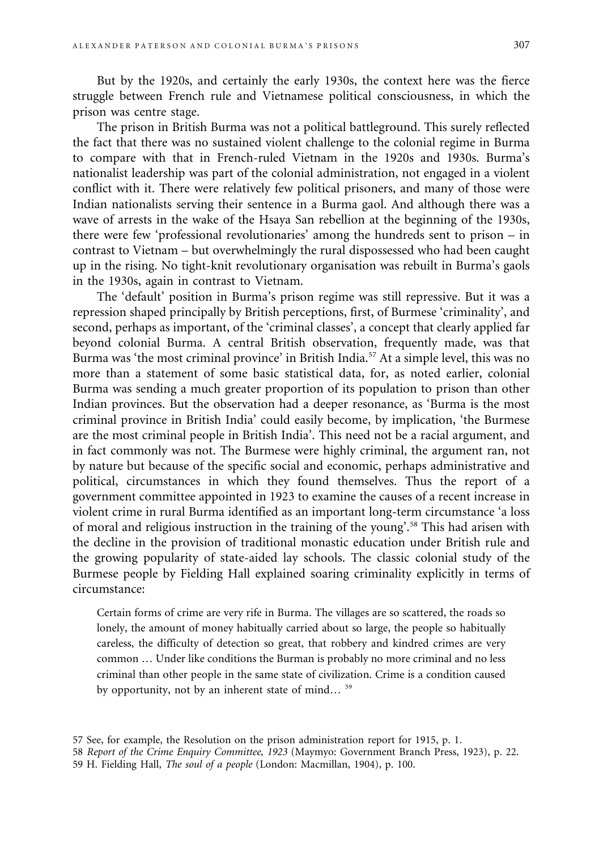But by the 1920s, and certainly the early 1930s, the context here was the fierce struggle between French rule and Vietnamese political consciousness, in which the prison was centre stage.

The prison in British Burma was not a political battleground. This surely reflected the fact that there was no sustained violent challenge to the colonial regime in Burma to compare with that in French-ruled Vietnam in the 1920s and 1930s. Burma's nationalist leadership was part of the colonial administration, not engaged in a violent conflict with it. There were relatively few political prisoners, and many of those were Indian nationalists serving their sentence in a Burma gaol. And although there was a wave of arrests in the wake of the Hsaya San rebellion at the beginning of the 1930s, there were few 'professional revolutionaries' among the hundreds sent to prison – in contrast to Vietnam – but overwhelmingly the rural dispossessed who had been caught up in the rising. No tight-knit revolutionary organisation was rebuilt in Burma's gaols in the 1930s, again in contrast to Vietnam.

The 'default' position in Burma's prison regime was still repressive. But it was a repression shaped principally by British perceptions, first, of Burmese 'criminality', and second, perhaps as important, of the 'criminal classes', a concept that clearly applied far beyond colonial Burma. A central British observation, frequently made, was that Burma was 'the most criminal province' in British India.<sup>57</sup> At a simple level, this was no more than a statement of some basic statistical data, for, as noted earlier, colonial Burma was sending a much greater proportion of its population to prison than other Indian provinces. But the observation had a deeper resonance, as 'Burma is the most criminal province in British India' could easily become, by implication, 'the Burmese are the most criminal people in British India'. This need not be a racial argument, and in fact commonly was not. The Burmese were highly criminal, the argument ran, not by nature but because of the specific social and economic, perhaps administrative and political, circumstances in which they found themselves. Thus the report of a government committee appointed in 1923 to examine the causes of a recent increase in violent crime in rural Burma identified as an important long-term circumstance 'a loss of moral and religious instruction in the training of the young'.<sup>58</sup> This had arisen with the decline in the provision of traditional monastic education under British rule and the growing popularity of state-aided lay schools. The classic colonial study of the Burmese people by Fielding Hall explained soaring criminality explicitly in terms of circumstance:

Certain forms of crime are very rife in Burma. The villages are so scattered, the roads so lonely, the amount of money habitually carried about so large, the people so habitually careless, the difficulty of detection so great, that robbery and kindred crimes are very common ... Under like conditions the Burman is probably no more criminal and no less criminal than other people in the same state of civilization. Crime is a condition caused by opportunity, not by an inherent state of mind...<sup>59</sup>

<sup>57</sup> See, for example, the Resolution on the prison administration report for 1915, p. 1.

<sup>58</sup> Report of the Crime Enquiry Committee, 1923 (Maymyo: Government Branch Press, 1923), p. 22.

<sup>59</sup> H. Fielding Hall, The soul of a people (London: Macmillan, 1904), p. 100.